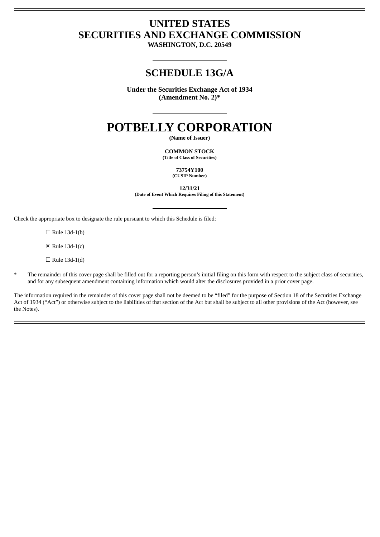# **UNITED STATES SECURITIES AND EXCHANGE COMMISSION**

**WASHINGTON, D.C. 20549**

# **SCHEDULE 13G/A**

**Under the Securities Exchange Act of 1934 (Amendment No. 2)\***

# **POTBELLY CORPORATION**

**(Name of Issuer)**

**COMMON STOCK (Title of Class of Securities)**

> **73754Y100 (CUSIP Number)**

> > **12/31/21**

**(Date of Event Which Requires Filing of this Statement)**

Check the appropriate box to designate the rule pursuant to which this Schedule is filed:

 $\Box$  Rule 13d-1(b)

 $\boxtimes$  Rule 13d-1(c)

 $\Box$  Rule 13d-1(d)

The remainder of this cover page shall be filled out for a reporting person's initial filing on this form with respect to the subject class of securities, and for any subsequent amendment containing information which would alter the disclosures provided in a prior cover page.

The information required in the remainder of this cover page shall not be deemed to be "filed" for the purpose of Section 18 of the Securities Exchange Act of 1934 ("Act") or otherwise subject to the liabilities of that section of the Act but shall be subject to all other provisions of the Act (however, see the Notes).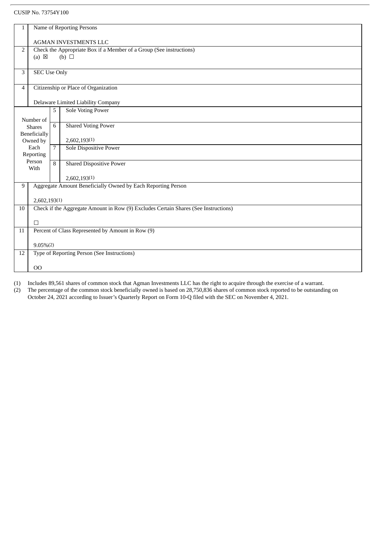# CUSIP No. 73754Y100

| 1                                                                 | Name of Reporting Persons                                                           |                                                                     |                                 |  |  |  |
|-------------------------------------------------------------------|-------------------------------------------------------------------------------------|---------------------------------------------------------------------|---------------------------------|--|--|--|
|                                                                   |                                                                                     |                                                                     |                                 |  |  |  |
|                                                                   | <b>AGMAN INVESTMENTS LLC</b>                                                        |                                                                     |                                 |  |  |  |
| 2                                                                 |                                                                                     | Check the Appropriate Box if a Member of a Group (See instructions) |                                 |  |  |  |
|                                                                   | $(a) \boxtimes$                                                                     |                                                                     | $(b)$ $\square$                 |  |  |  |
|                                                                   |                                                                                     |                                                                     |                                 |  |  |  |
| 3                                                                 | <b>SEC Use Only</b>                                                                 |                                                                     |                                 |  |  |  |
|                                                                   |                                                                                     |                                                                     |                                 |  |  |  |
| $\overline{4}$                                                    | Citizenship or Place of Organization                                                |                                                                     |                                 |  |  |  |
|                                                                   |                                                                                     |                                                                     |                                 |  |  |  |
|                                                                   | Delaware Limited Liability Company                                                  |                                                                     |                                 |  |  |  |
|                                                                   |                                                                                     | 5                                                                   | <b>Sole Voting Power</b>        |  |  |  |
|                                                                   | Number of                                                                           |                                                                     |                                 |  |  |  |
|                                                                   | <b>Shares</b>                                                                       | 6                                                                   | <b>Shared Voting Power</b>      |  |  |  |
|                                                                   | Beneficially                                                                        |                                                                     |                                 |  |  |  |
|                                                                   | Owned by                                                                            |                                                                     | 2,602,193(1)                    |  |  |  |
|                                                                   | Each                                                                                | $\overline{7}$                                                      | <b>Sole Dispositive Power</b>   |  |  |  |
|                                                                   | Reporting                                                                           |                                                                     |                                 |  |  |  |
|                                                                   | Person                                                                              | 8                                                                   | <b>Shared Dispositive Power</b> |  |  |  |
|                                                                   | With                                                                                |                                                                     |                                 |  |  |  |
|                                                                   |                                                                                     |                                                                     | 2,602,193(1)                    |  |  |  |
| Aggregate Amount Beneficially Owned by Each Reporting Person<br>9 |                                                                                     |                                                                     |                                 |  |  |  |
|                                                                   |                                                                                     |                                                                     |                                 |  |  |  |
|                                                                   | 2,602,193(1)                                                                        |                                                                     |                                 |  |  |  |
| 10                                                                | Check if the Aggregate Amount in Row (9) Excludes Certain Shares (See Instructions) |                                                                     |                                 |  |  |  |
|                                                                   |                                                                                     |                                                                     |                                 |  |  |  |
|                                                                   | $\Box$                                                                              |                                                                     |                                 |  |  |  |
| 11                                                                | Percent of Class Represented by Amount in Row (9)                                   |                                                                     |                                 |  |  |  |
|                                                                   |                                                                                     |                                                                     |                                 |  |  |  |
|                                                                   | $9.05\%(2)$                                                                         |                                                                     |                                 |  |  |  |
| 12                                                                | Type of Reporting Person (See Instructions)                                         |                                                                     |                                 |  |  |  |
|                                                                   |                                                                                     |                                                                     |                                 |  |  |  |
|                                                                   | O <sub>O</sub>                                                                      |                                                                     |                                 |  |  |  |
|                                                                   |                                                                                     |                                                                     |                                 |  |  |  |

(1) Includes 89,561 shares of common stock that Agman Investments LLC has the right to acquire through the exercise of a warrant.

(2) The percentage of the common stock beneficially owned is based on 28,750,836 shares of common stock reported to be outstanding on October 24, 2021 according to Issuer's Quarterly Report on Form 10-Q filed with the SEC on November 4, 2021.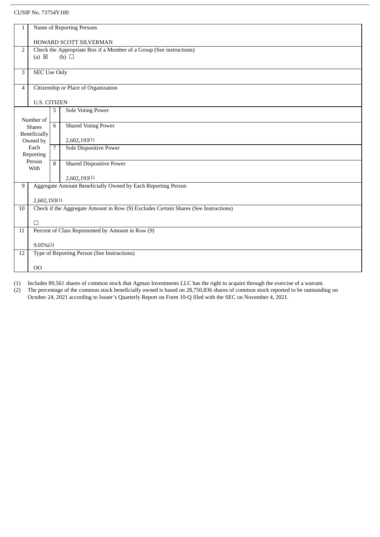# CUSIP No. 73754Y100

| 1                                                                 | Name of Reporting Persons                                                           |                |                                 |  |  |  |
|-------------------------------------------------------------------|-------------------------------------------------------------------------------------|----------------|---------------------------------|--|--|--|
|                                                                   |                                                                                     |                |                                 |  |  |  |
|                                                                   | HOWARD SCOTT SILVERMAN                                                              |                |                                 |  |  |  |
| 2                                                                 | Check the Appropriate Box if a Member of a Group (See instructions)                 |                |                                 |  |  |  |
|                                                                   | $(a) \boxtimes$                                                                     |                | $(b)$ $\square$                 |  |  |  |
|                                                                   |                                                                                     |                |                                 |  |  |  |
| 3                                                                 | <b>SEC Use Only</b>                                                                 |                |                                 |  |  |  |
|                                                                   |                                                                                     |                |                                 |  |  |  |
| $\overline{4}$                                                    | Citizenship or Place of Organization                                                |                |                                 |  |  |  |
|                                                                   |                                                                                     |                |                                 |  |  |  |
|                                                                   | <b>U.S. CITIZEN</b>                                                                 |                |                                 |  |  |  |
|                                                                   |                                                                                     | 5              | Sole Voting Power               |  |  |  |
|                                                                   | Number of                                                                           |                |                                 |  |  |  |
|                                                                   | <b>Shares</b>                                                                       | 6              | <b>Shared Voting Power</b>      |  |  |  |
|                                                                   | <b>Beneficially</b>                                                                 |                |                                 |  |  |  |
| Owned by                                                          |                                                                                     |                | 2,602,193(1)                    |  |  |  |
|                                                                   | Each                                                                                | 7 <sup>1</sup> | <b>Sole Dispositive Power</b>   |  |  |  |
|                                                                   | Reporting                                                                           |                |                                 |  |  |  |
|                                                                   | Person                                                                              | 8              | <b>Shared Dispositive Power</b> |  |  |  |
| With                                                              |                                                                                     |                |                                 |  |  |  |
|                                                                   |                                                                                     |                | 2,602,193(1)                    |  |  |  |
| Aggregate Amount Beneficially Owned by Each Reporting Person<br>9 |                                                                                     |                |                                 |  |  |  |
|                                                                   |                                                                                     |                |                                 |  |  |  |
|                                                                   | 2,602,193(1)                                                                        |                |                                 |  |  |  |
| 10                                                                | Check if the Aggregate Amount in Row (9) Excludes Certain Shares (See Instructions) |                |                                 |  |  |  |
|                                                                   |                                                                                     |                |                                 |  |  |  |
|                                                                   | П                                                                                   |                |                                 |  |  |  |
| 11                                                                | Percent of Class Represented by Amount in Row (9)                                   |                |                                 |  |  |  |
|                                                                   |                                                                                     |                |                                 |  |  |  |
|                                                                   | $9.05\%(2)$                                                                         |                |                                 |  |  |  |
| 12                                                                | Type of Reporting Person (See Instructions)                                         |                |                                 |  |  |  |
|                                                                   |                                                                                     |                |                                 |  |  |  |
|                                                                   | 00                                                                                  |                |                                 |  |  |  |
|                                                                   |                                                                                     |                |                                 |  |  |  |

(1) Includes 89,561 shares of common stock that Agman Investments LLC has the right to acquire through the exercise of a warrant.

(2) The percentage of the common stock beneficially owned is based on 28,750,836 shares of common stock reported to be outstanding on October 24, 2021 according to Issuer's Quarterly Report on Form 10-Q filed with the SEC on November 4, 2021.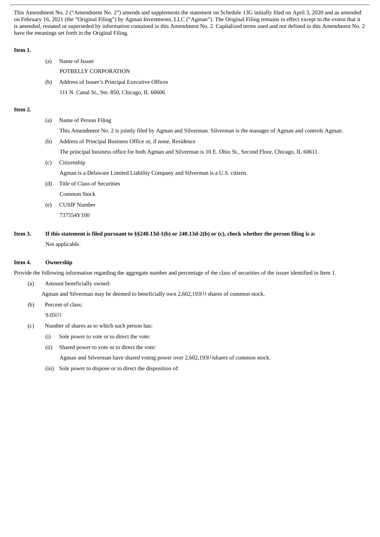This Amendment No. 2 ("Amendment No. 2") amends and supplements the statement on Schedule 13G initially filed on April 3, 2020 and as amended on February 16, 2021 (the "Original Filing") by Agman Investments, LLC ("Agman"). The Original Filing remains in effect except to the extent that it is amended, restated or superseded by information contained in this Amendment No. 2. Capitalized terms used and not defined in this Amendment No. 2 have the meanings set forth in the Original Filing.

# **Item 1.**

- (a) Name of Issuer POTBELLY CORPORATION (b) Address of Issuer's Principal Executive Offices
- 111 N. Canal St., Ste. 850, Chicago, IL 60606

# **Item 2.**

(a) Name of Person Filing

This Amendment No. 2 is jointly filed by Agman and Silverman. Silverman is the manager of Agman and controls Agman.

(b) Address of Principal Business Office or, if none, Residence

The principal business office for both Agman and Silverman is 10 E. Ohio St., Second Floor, Chicago, IL 60611.

(c) Citizenship

Agman is a Delaware Limited Liability Company and Silverman is a U.S. citizen.

- (d) Title of Class of Securities
	- Common Stock
- (e) CUSIP Number 737554Y100
- Item 3. If this statement is filed pursuant to §§240.13d-1(b) or 240.13d-2(b) or (c), check whether the person filing is a: Not applicable.

# **Item 4. Ownership**

Provide the following information regarding the aggregate number and percentage of the class of securities of the issuer identified in Item 1.

(a) Amount beneficially owned:

Agman and Silverman may be deemed to beneficially own 2,602,193(1) shares of common stock.

(b) Percent of class:

9.05(2)

- (c) Number of shares as to which such person has:
	- (i) Sole power to vote or to direct the vote:
	- (ii) Shared power to vote or to direct the vote: Agman and Silverman have shared voting power over 2,602,193(1)shares of common stock.
	- (iii) Sole power to dispose or to direct the disposition of: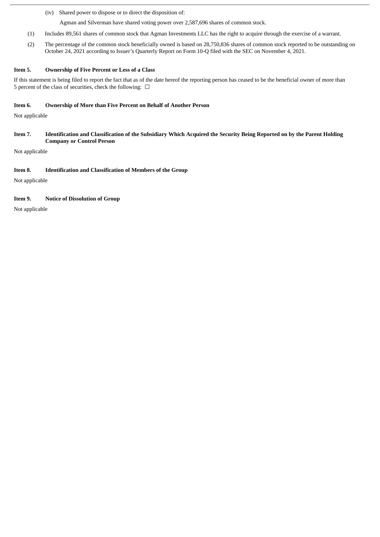(iv) Shared power to dispose or to direct the disposition of:

Agman and Silverman have shared voting power over 2,587,696 shares of common stock.

- (1) Includes 89,561 shares of common stock that Agman Investments LLC has the right to acquire through the exercise of a warrant.
- (2) The percentage of the common stock beneficially owned is based on 28,750,836 shares of common stock reported to be outstanding on October 24, 2021 according to Issuer's Quarterly Report on Form 10-Q filed with the SEC on November 4, 2021.

#### **Item 5. Ownership of Five Percent or Less of a Class**

If this statement is being filed to report the fact that as of the date hereof the reporting person has ceased to be the beneficial owner of more than 5 percent of the class of securities, check the following:  $\Box$ 

#### **Item 6. Ownership of More than Five Percent on Behalf of Another Person**

Not applicable

Item 7. Identification and Classification of the Subsidiary Which Acquired the Security Being Reported on by the Parent Holding **Company or Control Person**

Not applicable

#### **Item 8. Identification and Classification of Members of the Group**

Not applicable

# **Item 9. Notice of Dissolution of Group**

Not applicable